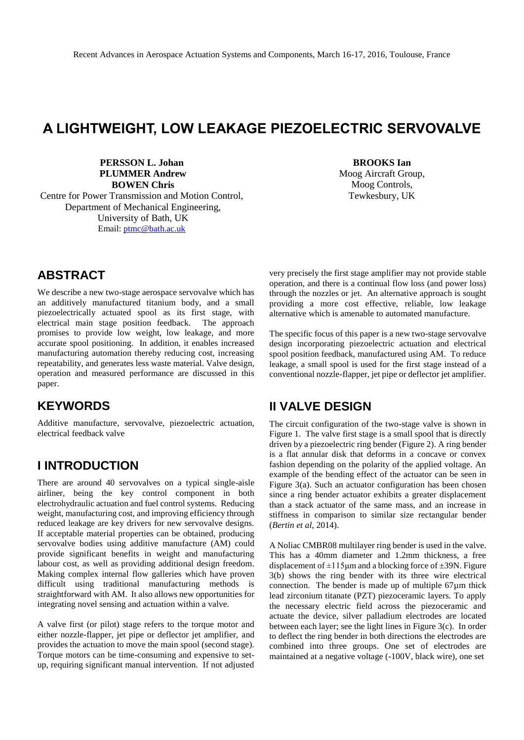# **A LIGHTWEIGHT, LOW LEAKAGE PIEZOELECTRIC SERVOVALVE**

**PERSSON L. Johan PLUMMER Andrew BOWEN Chris** Centre for Power Transmission and Motion Control, Department of Mechanical Engineering, University of Bath, UK Email: [ptmc@bath.ac.uk](mailto:ptmc@bath.ac.uk)

**BROOKS Ian** Moog Aircraft Group, Moog Controls, Tewkesbury, UK

## **ABSTRACT**

We describe a new two-stage aerospace servovalve which has an additively manufactured titanium body, and a small piezoelectrically actuated spool as its first stage, with electrical main stage position feedback. The approach promises to provide low weight, low leakage, and more accurate spool positioning. In addition, it enables increased manufacturing automation thereby reducing cost, increasing repeatability, and generates less waste material. Valve design, operation and measured performance are discussed in this paper.

## **KEYWORDS**

Additive manufacture, servovalve, piezoelectric actuation, electrical feedback valve

### **I INTRODUCTION**

There are around 40 servovalves on a typical single-aisle airliner, being the key control component in both electrohydraulic actuation and fuel control systems. Reducing weight, manufacturing cost, and improving efficiency through reduced leakage are key drivers for new servovalve designs. If acceptable material properties can be obtained, producing servovalve bodies using additive manufacture (AM) could provide significant benefits in weight and manufacturing labour cost, as well as providing additional design freedom. Making complex internal flow galleries which have proven difficult using traditional manufacturing methods is straightforward with AM. It also allows new opportunities for integrating novel sensing and actuation within a valve.

A valve first (or pilot) stage refers to the torque motor and either nozzle-flapper, jet pipe or deflector jet amplifier, and provides the actuation to move the main spool (second stage). Torque motors can be time-consuming and expensive to setup, requiring significant manual intervention. If not adjusted

very precisely the first stage amplifier may not provide stable operation, and there is a continual flow loss (and power loss) through the nozzles or jet. An alternative approach is sought providing a more cost effective, reliable, low leakage alternative which is amenable to automated manufacture.

The specific focus of this paper is a new two-stage servovalve design incorporating piezoelectric actuation and electrical spool position feedback, manufactured using AM. To reduce leakage, a small spool is used for the first stage instead of a conventional nozzle-flapper, jet pipe or deflector jet amplifier.

## **II VALVE DESIGN**

The circuit configuration of the two-stage valve is shown in Figure 1. The valve first stage is a small spool that is directly driven by a piezoelectric ring bender (Figure 2). A ring bender is a flat annular disk that deforms in a concave or convex fashion depending on the polarity of the applied voltage. An example of the bending effect of the actuator can be seen in Figure 3(a). Such an actuator configuration has been chosen since a ring bender actuator exhibits a greater displacement than a stack actuator of the same mass, and an increase in stiffness in comparison to similar size rectangular bender (*Bertin et al*, 2014).

A Noliac CMBR08 multilayer ring bender is used in the valve. This has a 40mm diameter and 1.2mm thickness, a free displacement of  $\pm 115 \mu m$  and a blocking force of  $\pm 39$ N. Figure 3(b) shows the ring bender with its three wire electrical connection. The bender is made up of multiple 67µm thick lead zirconium titanate (PZT) piezoceramic layers. To apply the necessary electric field across the piezoceramic and actuate the device, silver palladium electrodes are located between each layer; see the light lines in Figure 3(c). In order to deflect the ring bender in both directions the electrodes are combined into three groups. One set of electrodes are maintained at a negative voltage (-100V, black wire), one set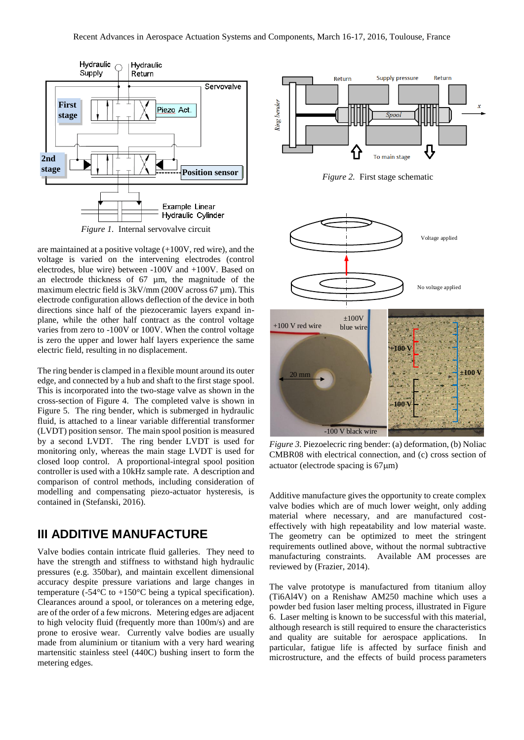

are maintained at a positive voltage (+100V, red wire), and the voltage is varied on the intervening electrodes (control electrodes, blue wire) between -100V and +100V. Based on an electrode thickness of 67 µm, the magnitude of the maximum electric field is 3kV/mm (200V across 67 µm). This electrode configuration allows deflection of the device in both directions since half of the piezoceramic layers expand inplane, while the other half contract as the control voltage varies from zero to -100V or 100V. When the control voltage is zero the upper and lower half layers experience the same electric field, resulting in no displacement.

The ring bender is clamped in a flexible mount around its outer edge, and connected by a hub and shaft to the first stage spool. This is incorporated into the two-stage valve as shown in the cross-section of Figure 4. The completed valve is shown in Figure 5. The ring bender, which is submerged in hydraulic fluid, is attached to a linear variable differential transformer (LVDT) position sensor. The main spool position is measured by a second LVDT. The ring bender LVDT is used for monitoring only, whereas the main stage LVDT is used for closed loop control. A proportional-integral spool position controller is used with a 10kHz sample rate. A description and comparison of control methods, including consideration of modelling and compensating piezo-actuator hysteresis, is contained in (Stefanski, 2016).

## **III ADDITIVE MANUFACTURE**

Valve bodies contain intricate fluid galleries. They need to have the strength and stiffness to withstand high hydraulic pressures (e.g. 350bar), and maintain excellent dimensional accuracy despite pressure variations and large changes in temperature (-54 $\mathrm{°C}$  to +150 $\mathrm{°C}$  being a typical specification). Clearances around a spool, or tolerances on a metering edge, are of the order of a few microns. Metering edges are adjacent to high velocity fluid (frequently more than 100m/s) and are prone to erosive wear. Currently valve bodies are usually made from aluminium or titanium with a very hard wearing martensitic stainless steel (440C) bushing insert to form the metering edges.



*Figure 2.* First stage schematic



*Figure 3.* Piezoelecric ring bender: (a) deformation, (b) Noliac CMBR08 with electrical connection, and (c) cross section of actuator (electrode spacing is  $67 \mu m$ )

Additive manufacture gives the opportunity to create complex valve bodies which are of much lower weight, only adding material where necessary, and are manufactured costeffectively with high repeatability and low material waste. The geometry can be optimized to meet the stringent requirements outlined above, without the normal subtractive manufacturing constraints. Available AM processes are reviewed by (Frazier, 2014).

The valve prototype is manufactured from titanium alloy (Ti6Al4V) on a Renishaw AM250 machine which uses a powder bed fusion laser melting process, illustrated in Figure 6. Laser melting is known to be successful with this material, although research is still required to ensure the characteristics and quality are suitable for aerospace applications. In particular, fatigue life is affected by surface finish and microstructure, and the effects of build process parameters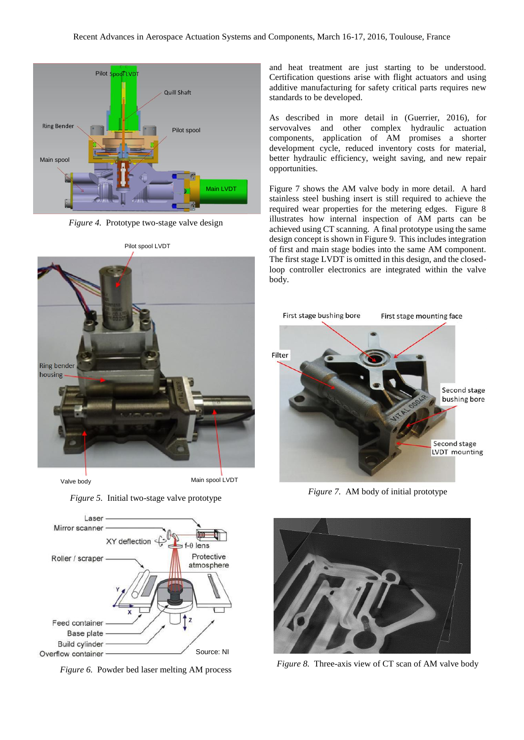

*Figure 4.* Prototype two-stage valve design



*Figure 5.* Initial two-stage valve prototype



*Figure 6.* Powder bed laser melting AM process

and heat treatment are just starting to be understood. Certification questions arise with flight actuators and using additive manufacturing for safety critical parts requires new standards to be developed.

As described in more detail in (Guerrier, 2016), for servovalves and other complex hydraulic actuation components, application of AM promises a shorter development cycle, reduced inventory costs for material, better hydraulic efficiency, weight saving, and new repair opportunities.

Figure 7 shows the AM valve body in more detail. A hard stainless steel bushing insert is still required to achieve the required wear properties for the metering edges. Figure 8 illustrates how internal inspection of AM parts can be achieved using CT scanning. A final prototype using the same design concept is shown in Figure 9. This includes integration of first and main stage bodies into the same AM component. The first stage LVDT is omitted in this design, and the closedloop controller electronics are integrated within the valve body.



*Figure 7.* AM body of initial prototype



*Figure 8.* Three-axis view of CT scan of AM valve body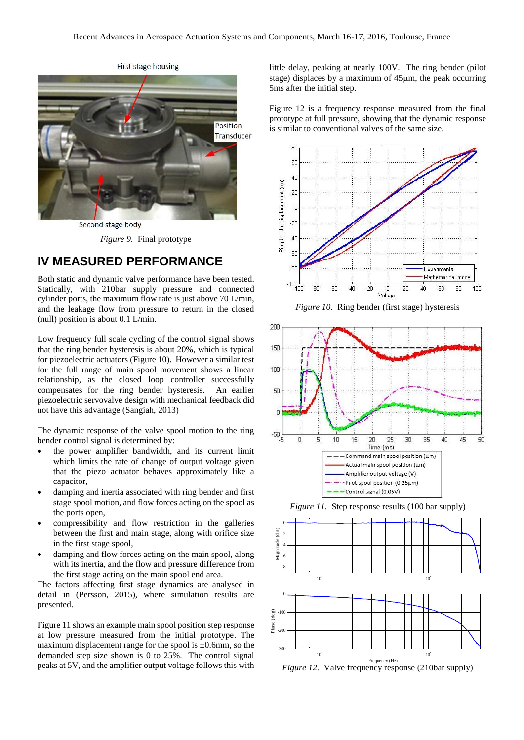

Second stage body

*Figure 9.* Final prototype

### **IV MEASURED PERFORMANCE**

Both static and dynamic valve performance have been tested. Statically, with 210bar supply pressure and connected cylinder ports, the maximum flow rate is just above 70 L/min, and the leakage flow from pressure to return in the closed (null) position is about 0.1 L/min.

Low frequency full scale cycling of the control signal shows that the ring bender hysteresis is about 20%, which is typical for piezoelectric actuators (Figure 10). However a similar test for the full range of main spool movement shows a linear relationship, as the closed loop controller successfully compensates for the ring bender hysteresis. An earlier piezoelectric servovalve design with mechanical feedback did not have this advantage (Sangiah, 2013)

The dynamic response of the valve spool motion to the ring bender control signal is determined by:

- the power amplifier bandwidth, and its current limit which limits the rate of change of output voltage given that the piezo actuator behaves approximately like a capacitor,
- damping and inertia associated with ring bender and first stage spool motion, and flow forces acting on the spool as the ports open,
- compressibility and flow restriction in the galleries between the first and main stage, along with orifice size in the first stage spool,
- damping and flow forces acting on the main spool, along with its inertia, and the flow and pressure difference from the first stage acting on the main spool end area.

The factors affecting first stage dynamics are analysed in detail in (Persson, 2015), where simulation results are presented.

Figure 11 shows an example main spool position step response at low pressure measured from the initial prototype. The maximum displacement range for the spool is  $\pm 0.6$ mm, so the demanded step size shown is 0 to 25%. The control signal peaks at 5V, and the amplifier output voltage follows this with little delay, peaking at nearly 100V. The ring bender (pilot stage) displaces by a maximum of  $45\mu$ m, the peak occurring 5ms after the initial step.

Figure 12 is a frequency response measured from the final prototype at full pressure, showing that the dynamic response is similar to conventional valves of the same size.











*Figure 12.* Valve frequency response (210bar supply)